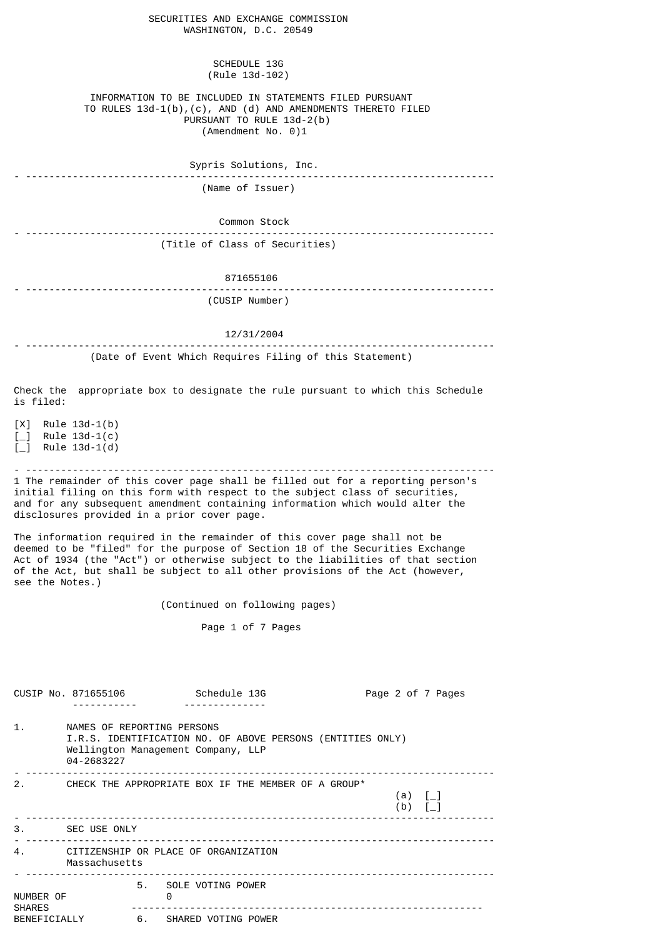| SECURITIES AND EXCHANGE COMMISSION<br>WASHINGTON, D.C. 20549                                                                                                                  |
|-------------------------------------------------------------------------------------------------------------------------------------------------------------------------------|
| <b>SCHEDULE 13G</b><br>(Rule 13d-102)                                                                                                                                         |
| INFORMATION TO BE INCLUDED IN STATEMENTS FILED PURSUANT<br>TO RULES $13d-1(b)$ , (c), AND (d) AND AMENDMENTS THERETO FILED<br>PURSUANT TO RULE 13d-2(b)<br>(Amendment No. 0)1 |
| Sypris Solutions, Inc.                                                                                                                                                        |
| (Name of Issuer)                                                                                                                                                              |
| Common Stock                                                                                                                                                                  |
| (Title of Class of Securities)                                                                                                                                                |
|                                                                                                                                                                               |

## 871655106 - -------------------------------------------------------------------------------- (CUSIP Number)

12/31/2004

- -------------------------------------------------------------------------------- (Date of Event Which Requires Filing of this Statement)

Check the appropriate box to designate the rule pursuant to which this Schedule

[X] Rule 13d-1(b)  $\begin{bmatrix} 1 \\ -1 \end{bmatrix}$  Rule 13d-1(c)  $\overrightarrow{L}$  Rule 13d-1(d)

is filed:

- -------------------------------------------------------------------------------- 1 The remainder of this cover page shall be filled out for a reporting person's initial filing on this form with respect to the subject class of securities, and for any subsequent amendment containing information which would alter the disclosures provided in a prior cover page.

The information required in the remainder of this cover page shall not be deemed to be "filed" for the purpose of Section 18 of the Securities Exchange Act of 1934 (the "Act") or otherwise subject to the liabilities of that section of the Act, but shall be subject to all other provisions of the Act (however, see the Notes.)

(Continued on following pages)

Page 1 of 7 Pages

|                            | CUSIP No. 871655106                                                                                                                          |                           | Schedule 13G |                                                     |  |                                      | Page 2 of 7 Pages |  |
|----------------------------|----------------------------------------------------------------------------------------------------------------------------------------------|---------------------------|--------------|-----------------------------------------------------|--|--------------------------------------|-------------------|--|
| 1.                         | NAMES OF REPORTING PERSONS<br>I.R.S. IDENTIFICATION NO. OF ABOVE PERSONS (ENTITIES ONLY)<br>Wellington Management Company, LLP<br>04-2683227 |                           |              |                                                     |  |                                      |                   |  |
| 2.                         |                                                                                                                                              |                           |              | CHECK THE APPROPRIATE BOX IF THE MEMBER OF A GROUP* |  | (a) $[-]$<br>$(b)$ $\lceil - \rceil$ |                   |  |
|                            | 3. SEC USE ONLY                                                                                                                              |                           |              |                                                     |  |                                      |                   |  |
| 4.                         | CITIZENSHIP OR PLACE OF ORGANIZATION<br>Massachusetts                                                                                        |                           |              |                                                     |  |                                      |                   |  |
| NUMBER OF<br><b>SHARES</b> |                                                                                                                                              | 5. SOLE VOTING POWER<br>0 |              |                                                     |  |                                      |                   |  |
| BENEFICIALLY               |                                                                                                                                              | 6. SHARED VOTING POWER    |              |                                                     |  |                                      |                   |  |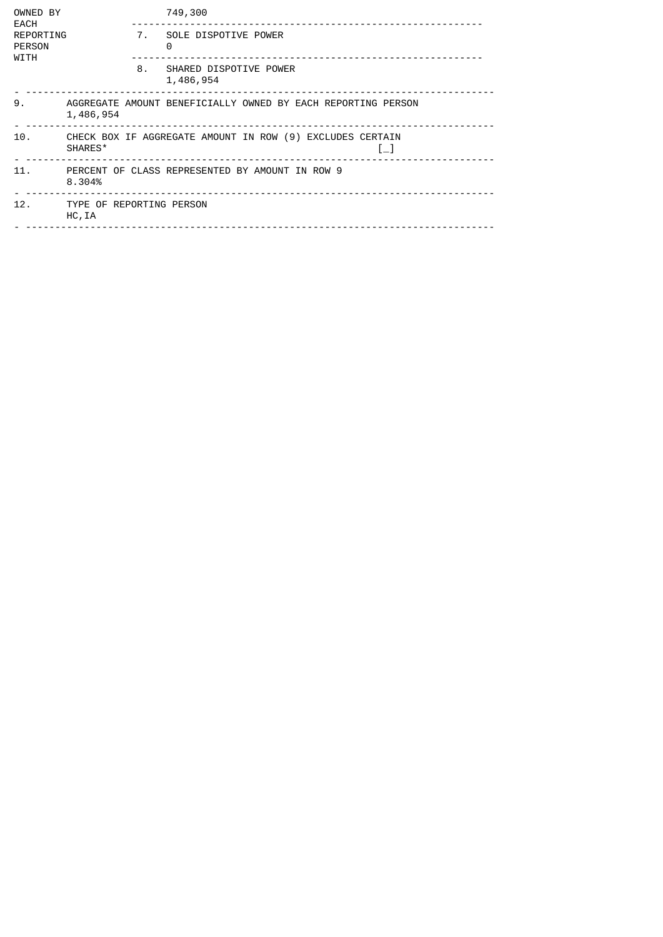| OWNED BY<br>EACH                   |                                                                                 |    | 749,300                                                      |  |  |  |  |
|------------------------------------|---------------------------------------------------------------------------------|----|--------------------------------------------------------------|--|--|--|--|
| REPORTING<br><b>PERSON</b><br>WITH |                                                                                 | 7. | SOLE DISPOTIVE POWER<br>0                                    |  |  |  |  |
|                                    |                                                                                 | 8. | SHARED DISPOTIVE POWER<br>1,486,954                          |  |  |  |  |
| 9.                                 | 1,486,954                                                                       |    | AGGREGATE AMOUNT BENEFICIALLY OWNED BY EACH REPORTING PERSON |  |  |  |  |
| 10.                                | CHECK BOX IF AGGREGATE AMOUNT IN ROW (9) EXCLUDES CERTAIN<br>SHARES*<br>$L_{-}$ |    |                                                              |  |  |  |  |
| 11.                                | PERCENT OF CLASS REPRESENTED BY AMOUNT IN ROW 9<br>8.304%                       |    |                                                              |  |  |  |  |
| 12.                                | TYPE OF REPORTING PERSON<br>HC, IA                                              |    |                                                              |  |  |  |  |
|                                    |                                                                                 |    |                                                              |  |  |  |  |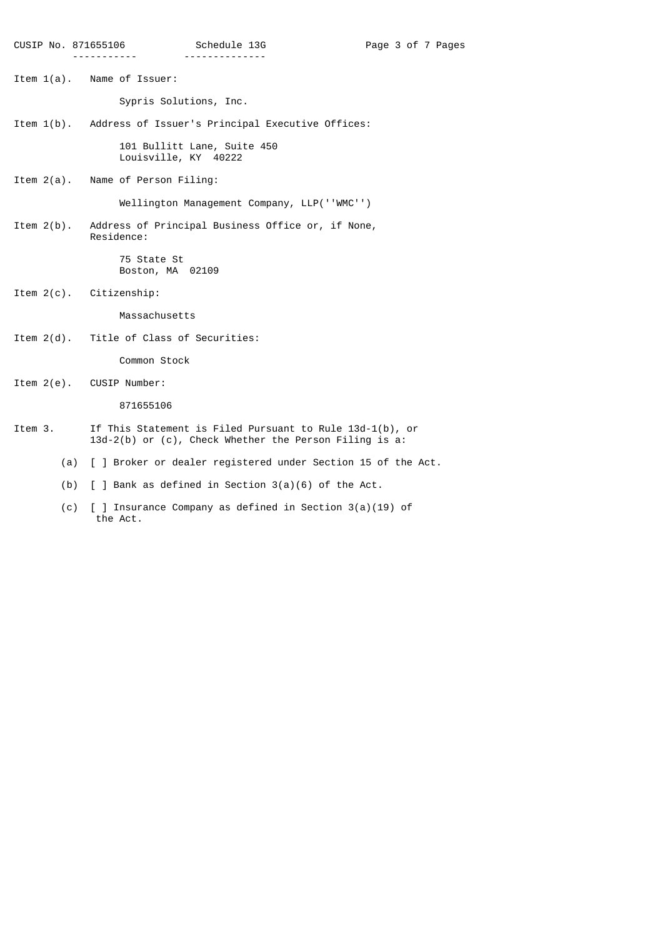Item 1(a). Name of Issuer:

 Sypris Solutions, Inc. Item 1(b). Address of Issuer's Principal Executive Offices: 101 Bullitt Lane, Suite 450 Louisville, KY 40222 Item 2(a). Name of Person Filing: Wellington Management Company, LLP(''WMC'') Item 2(b). Address of Principal Business Office or, if None, Residence:

> 75 State St Boston, MA 02109

Item 2(c). Citizenship:

Massachusetts

Item 2(d). Title of Class of Securities:

Common Stock

Item 2(e). CUSIP Number:

871655106

- Item 3. If This Statement is Filed Pursuant to Rule 13d-1(b), or 13d-2(b) or (c), Check Whether the Person Filing is a:
	- (a) [ ] Broker or dealer registered under Section 15 of the Act.
	- (b) [ ] Bank as defined in Section 3(a)(6) of the Act.
	- (c) [ ] Insurance Company as defined in Section 3(a)(19) of the Act.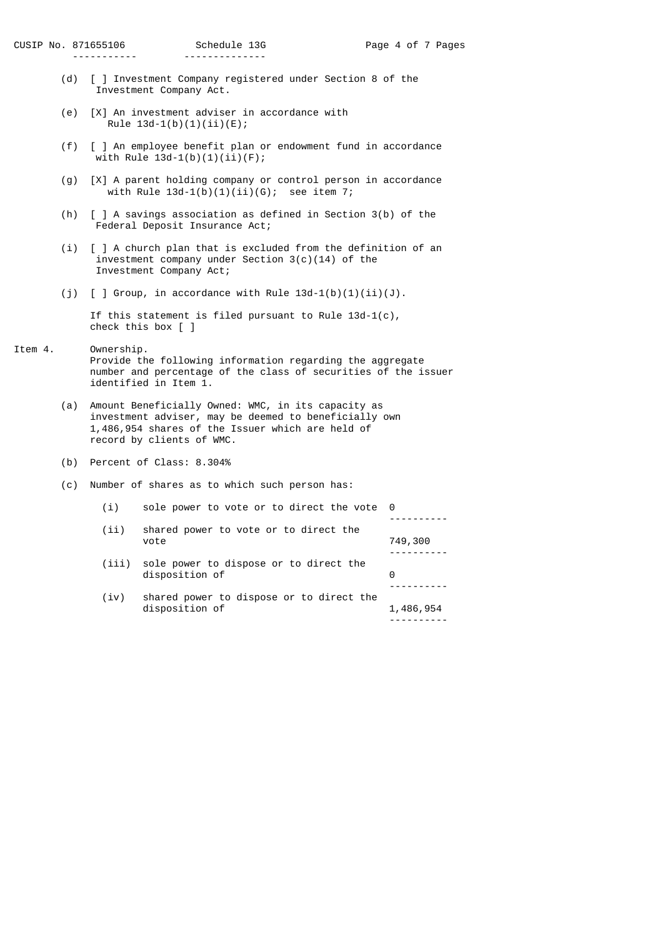- (d) [ ] Investment Company registered under Section 8 of the Investment Company Act.
- (e) [X] An investment adviser in accordance with Rule  $13d-1(b)(1)(ii)(E)$ ;
- (f) [ ] An employee benefit plan or endowment fund in accordance with Rule 13d-1(b)(1)(ii)(F);
- (g) [X] A parent holding company or control person in accordance with Rule  $13d-1(b)(1)(ii)(G)$ ; see item 7;
- (h) [ ] A savings association as defined in Section 3(b) of the Federal Deposit Insurance Act;
- (i) [ ] A church plan that is excluded from the definition of an investment company under Section 3(c)(14) of the Investment Company Act;
- (j)  $\lceil$   $\rceil$  Group, in accordance with Rule 13d-1(b)(1)(ii)(J).

 If this statement is filed pursuant to Rule 13d-1(c), check this box [ ]

- Item 4. Ownership. Provide the following information regarding the aggregate number and percentage of the class of securities of the issuer identified in Item 1.
- (a) Amount Beneficially Owned: WMC, in its capacity as investment adviser, may be deemed to beneficially own 1,486,954 shares of the Issuer which are held of record by clients of WMC.
	- (b) Percent of Class: 8.304%
	- (c) Number of shares as to which such person has:

| (i)  | sole power to vote or to direct the vote 0                     |           |
|------|----------------------------------------------------------------|-----------|
| (i)  | shared power to vote or to direct the<br>vote                  | 749,300   |
|      | (iii) sole power to dispose or to direct the<br>disposition of | 0         |
| (iv) | shared power to dispose or to direct the<br>disposition of     | 1,486,954 |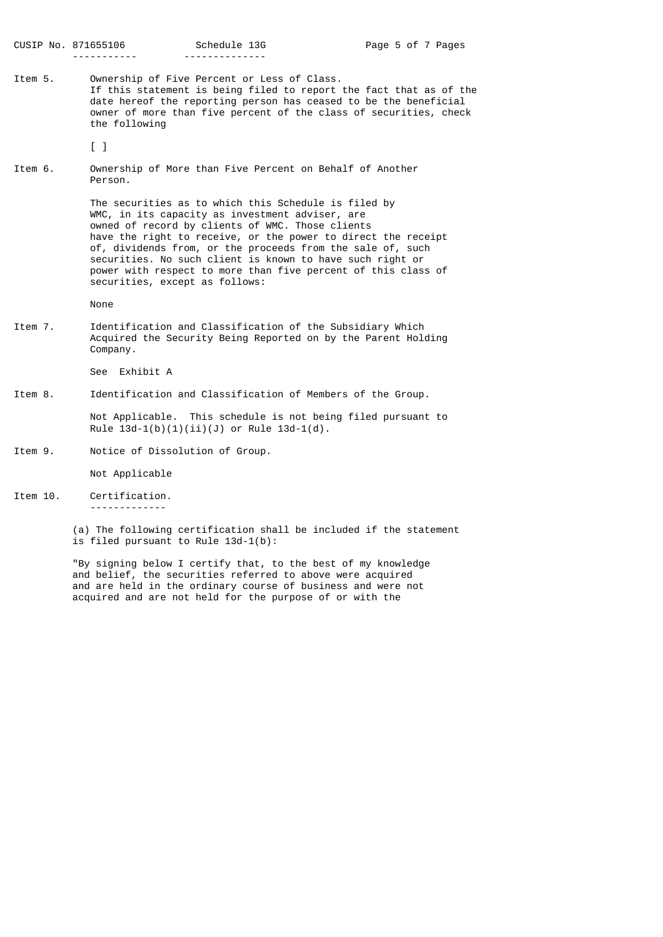Item 5. Ownership of Five Percent or Less of Class. If this statement is being filed to report the fact that as of the date hereof the reporting person has ceased to be the beneficial owner of more than five percent of the class of securities, check the following

[ ]

Item 6. Ownership of More than Five Percent on Behalf of Another Person.

> The securities as to which this Schedule is filed by WMC, in its capacity as investment adviser, are owned of record by clients of WMC. Those clients have the right to receive, or the power to direct the receipt of, dividends from, or the proceeds from the sale of, such securities. No such client is known to have such right or power with respect to more than five percent of this class of securities, except as follows:

None

Item 7. Identification and Classification of the Subsidiary Which Acquired the Security Being Reported on by the Parent Holding Company.

See Exhibit A

Item 8. Identification and Classification of Members of the Group.

 Not Applicable. This schedule is not being filed pursuant to Rule  $13d-1(b)(1)(ii)(J)$  or Rule  $13d-1(d)$ .

Item 9. Notice of Dissolution of Group.

Not Applicable

Item 10. Certification.

-------------

 (a) The following certification shall be included if the statement is filed pursuant to Rule  $13d-1(b)$ :

 "By signing below I certify that, to the best of my knowledge and belief, the securities referred to above were acquired and are held in the ordinary course of business and were not acquired and are not held for the purpose of or with the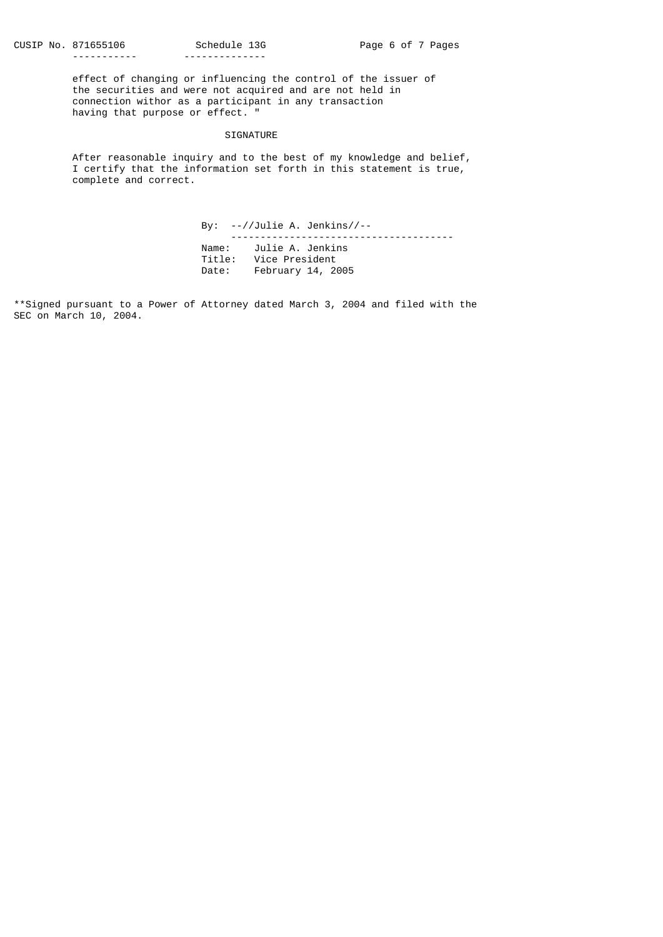effect of changing or influencing the control of the issuer of the securities and were not acquired and are not held in connection withor as a participant in any transaction having that purpose or effect. "

## SIGNATURE

 After reasonable inquiry and to the best of my knowledge and belief, I certify that the information set forth in this statement is true, complete and correct.

> By: --//Julie A. Jenkins//-- -------------------------------------- Name: Julie A. Jenkins Title: Vice President Date: February 14, 2005

\*\*Signed pursuant to a Power of Attorney dated March 3, 2004 and filed with the SEC on March 10, 2004.